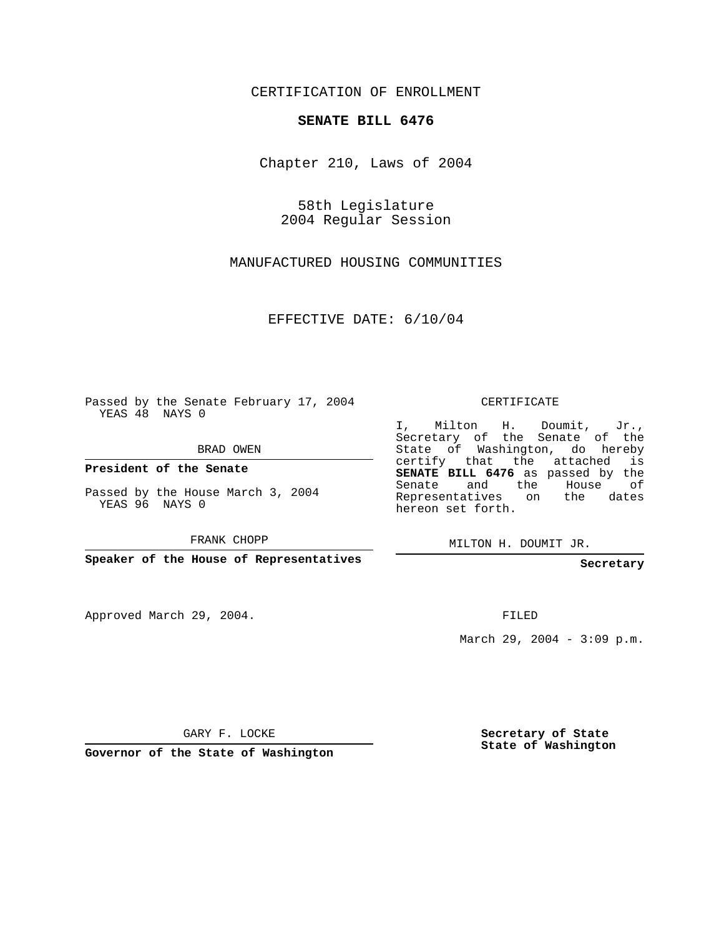CERTIFICATION OF ENROLLMENT

## **SENATE BILL 6476**

Chapter 210, Laws of 2004

58th Legislature 2004 Regular Session

MANUFACTURED HOUSING COMMUNITIES

EFFECTIVE DATE: 6/10/04

Passed by the Senate February 17, 2004 YEAS 48 NAYS 0

BRAD OWEN

**President of the Senate**

Passed by the House March 3, 2004 YEAS 96 NAYS 0

FRANK CHOPP

**Speaker of the House of Representatives**

Approved March 29, 2004.

CERTIFICATE

I, Milton H. Doumit, Jr., Secretary of the Senate of the State of Washington, do hereby certify that the attached is **SENATE BILL 6476** as passed by the Senate and the House of Representatives on the dates hereon set forth.

MILTON H. DOUMIT JR.

**Secretary**

FILED

March 29, 2004 - 3:09 p.m.

GARY F. LOCKE

**Governor of the State of Washington**

**Secretary of State State of Washington**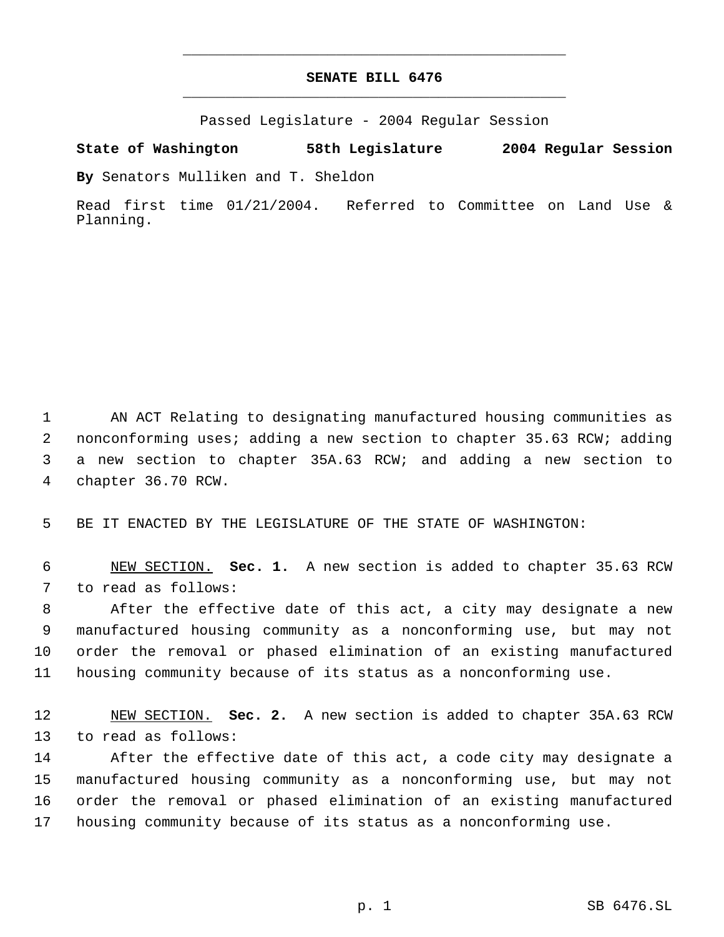## **SENATE BILL 6476** \_\_\_\_\_\_\_\_\_\_\_\_\_\_\_\_\_\_\_\_\_\_\_\_\_\_\_\_\_\_\_\_\_\_\_\_\_\_\_\_\_\_\_\_\_

\_\_\_\_\_\_\_\_\_\_\_\_\_\_\_\_\_\_\_\_\_\_\_\_\_\_\_\_\_\_\_\_\_\_\_\_\_\_\_\_\_\_\_\_\_

Passed Legislature - 2004 Regular Session

**State of Washington 58th Legislature 2004 Regular Session**

**By** Senators Mulliken and T. Sheldon

Read first time 01/21/2004. Referred to Committee on Land Use & Planning.

 AN ACT Relating to designating manufactured housing communities as nonconforming uses; adding a new section to chapter 35.63 RCW; adding a new section to chapter 35A.63 RCW; and adding a new section to chapter 36.70 RCW.

BE IT ENACTED BY THE LEGISLATURE OF THE STATE OF WASHINGTON:

 NEW SECTION. **Sec. 1.** A new section is added to chapter 35.63 RCW to read as follows:

 After the effective date of this act, a city may designate a new manufactured housing community as a nonconforming use, but may not order the removal or phased elimination of an existing manufactured housing community because of its status as a nonconforming use.

 NEW SECTION. **Sec. 2.** A new section is added to chapter 35A.63 RCW to read as follows:

 After the effective date of this act, a code city may designate a manufactured housing community as a nonconforming use, but may not order the removal or phased elimination of an existing manufactured housing community because of its status as a nonconforming use.